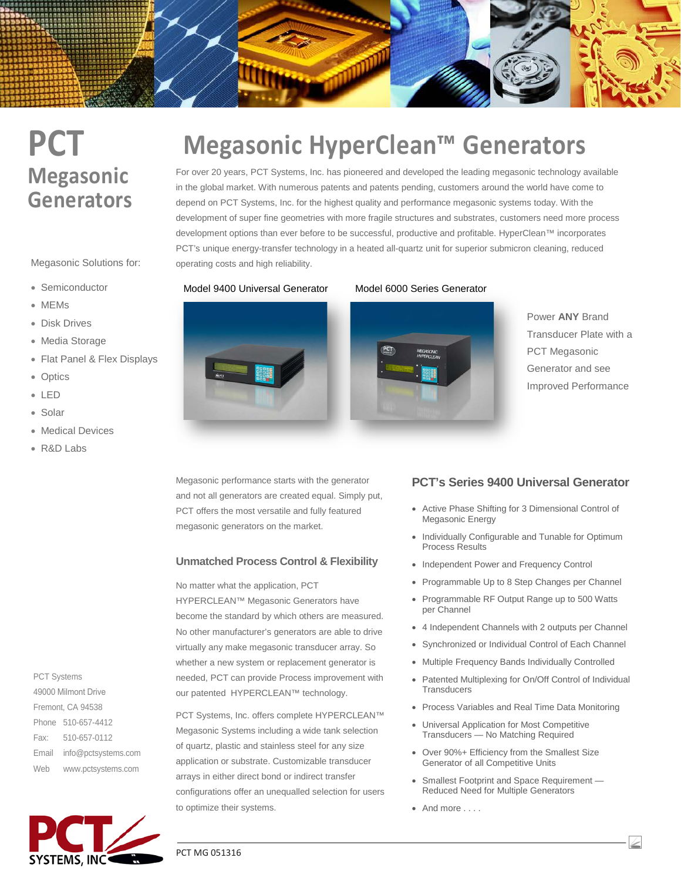# **PCT Megasonic Generators**

Megasonic Solutions for:

- Semiconductor
- MEMs
- Disk Drives
- Media Storage
- Flat Panel & Flex Displays
- Optics
- LED
- Solar
- Medical Devices
- R&D Labs

PCT Systems 49000 Milmont Drive Fremont, CA 94538 Phone 510-657-4412 Fax: 510-657-0112 Email info@pctsystems.com Web www.pctsystems.com



# **Megasonic HyperClean™ Generators**

For over 20 years, PCT Systems, Inc. has pioneered and developed the leading megasonic technology available in the global market. With numerous patents and patents pending, customers around the world have come to depend on PCT Systems, Inc. for the highest quality and performance megasonic systems today. With the development of super fine geometries with more fragile structures and substrates, customers need more process development options than ever before to be successful, productive and profitable. HyperClean™ incorporates PCT's unique energy-transfer technology in a heated all-quartz unit for superior submicron cleaning, reduced operating costs and high reliability.



#### Model 9400 Universal Generator Model 6000 Series Generator



Power **ANY** Brand Transducer Plate with a PCT Megasonic Generator and see Improved Performance

Megasonic performance starts with the generator and not all generators are created equal. Simply put, PCT offers the most versatile and fully featured megasonic generators on the market.

### **Unmatched Process Control & Flexibility**

No matter what the application, PCT HYPERCLEAN™ Megasonic Generators have become the standard by which others are measured. No other manufacturer's generators are able to drive virtually any make megasonic transducer array. So whether a new system or replacement generator is needed, PCT can provide Process improvement with our patented HYPERCLEAN™ technology.

PCT Systems, Inc. offers complete HYPERCLEAN™ Megasonic Systems including a wide tank selection of quartz, plastic and stainless steel for any size application or substrate. Customizable transducer arrays in either direct bond or indirect transfer configurations offer an unequalled selection for users to optimize their systems.

### **PCT's Series 9400 Universal Generator**

- Active Phase Shifting for 3 Dimensional Control of Megasonic Energy
- Individually Configurable and Tunable for Optimum Process Results
- Independent Power and Frequency Control
- Programmable Up to 8 Step Changes per Channel
- Programmable RF Output Range up to 500 Watts per Channel
- 4 Independent Channels with 2 outputs per Channel
- Synchronized or Individual Control of Each Channel
- Multiple Frequency Bands Individually Controlled
- Patented Multiplexing for On/Off Control of Individual **Transducers**
- Process Variables and Real Time Data Monitoring
- Universal Application for Most Competitive Transducers — No Matching Required
- Over 90%+ Efficiency from the Smallest Size Generator of all Competitive Units
- Smallest Footprint and Space Requirement Reduced Need for Multiple Generators
- And more . . . .